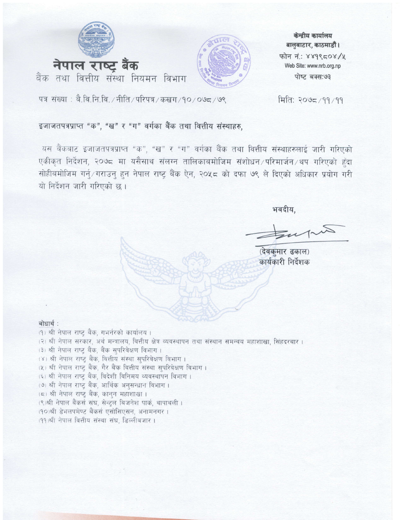



केन्द्रीय कार्यालय बालुवाटार, काठमाडौं। फोन नं: ४४१९८०४/५ Web Site: www.nrb.org.np पोष्ट बक्स:७३

पत्र संख्या: बै.वि.नि.वि./नीति/परिपत्र/कखग/१०/०७८/७९

### मिति: २०७८/११/११

### इजाजतपत्रप्राप्त "क", "ख" र "ग" वर्गका बैंक तथा वित्तीय संस्थाहरु,

यस वैंकवाट इजाजतपत्रप्राप्त "क", "ख" र "ग" वर्गका वैंक तथा वित्तीय संस्थाहरुलाई जारी गरिएको एकीकृत निर्देशन, २०७८ मा यसैसाथ संलग्न तालिकाबमोजिम संशोधन ⁄परिमार्जन ⁄थप गरिएको हुँदा सोहीबमोजिम गर्नु/गराउनु हुन नेपाल राष्ट्र बैंक ऐन, २०५८ को दफा ७९ ले दिएको अधिकार प्रयोग गरी यो निर्देशन जारी गरिएको छ।

भवदीय,

(देवकुमार ढकाल) कार्यकारी निर्देशक

#### बोधार्थ:

(१) श्री नेपाल राष्ट्र बैंक, गभर्नरको कार्यालय। (२) श्री नेपाल सरकार, अर्थ मन्त्रालय, वित्तीय क्षेत्र व्यवस्थापन तथा संस्थान समन्वय महाशाखा, सिंहदरबार।

- (३) श्री नेपाल राष्ट् बैंक, बैंक सुपरिवेक्षण विभाग ।
- (४) श्री नेपाल राष्ट्र बैंक, वित्तीय संस्था सपरिवेक्षण विभाग।
- (५) श्री नेपाल राष्ट्र बैंक, गैर बैंक वित्तीय संस्था सुपरिवेक्षण विभाग।
- (६) श्री नेपाल राष्ट्र बैंक, विदेशी विनिमय व्यवस्थापन विभाग।
- (७) श्री नेपाल राष्ट्र बैंक, आर्थिक अनुसन्धान विभाग।
- (८) श्री नेपाल राष्ट्र बैंक, कानुन महाशाखा ।
- (९)श्री नेपाल बैंकर्स संघ, सेन्टल बिजनेश पार्क, थापाथली।
- (१०)श्री डेभलपमेण्ट बैंकर्स एसोसिएसन, अनामनगर।
- (११)श्री नेपाल वित्तीय संस्था संघ, डिल्लीबजार।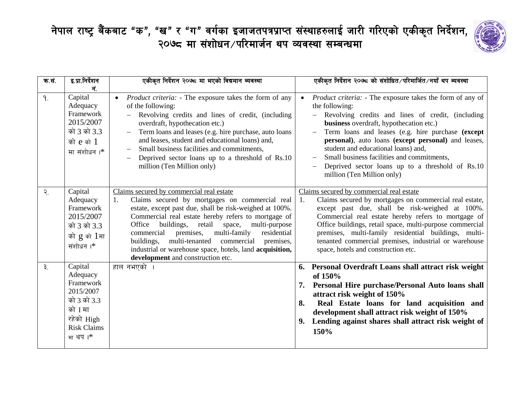

| क.स.            | इ.प्रा.निर्देशन<br>नं.                                                                                                 | एकीकृत निर्देशन २०७८ मा भएको विद्यमान ब्यवस्था                                                                                                                                                                                                                                                                                                                                                                                                                                               | एकीकृत निर्देशन २०७८ को संशोधित∕परिमार्जित∕नयाँ थप ब्यवस्था                                                                                                                                                                                                                                                                                                                                                                                                           |
|-----------------|------------------------------------------------------------------------------------------------------------------------|----------------------------------------------------------------------------------------------------------------------------------------------------------------------------------------------------------------------------------------------------------------------------------------------------------------------------------------------------------------------------------------------------------------------------------------------------------------------------------------------|-----------------------------------------------------------------------------------------------------------------------------------------------------------------------------------------------------------------------------------------------------------------------------------------------------------------------------------------------------------------------------------------------------------------------------------------------------------------------|
| 9.              | Capital<br>Adequacy<br>Framework<br>2015/2007<br>को 3 को 3.3<br>को e को 1<br>मा संशोधन।*                               | <i>Product criteria:</i> - The exposure takes the form of any<br>$\bullet$<br>of the following:<br>Revolving credits and lines of credit, (including<br>overdraft, hypothecation etc.)<br>Term loans and leases (e.g. hire purchase, auto loans<br>and leases, student and educational loans) and,<br>Small business facilities and commitments,<br>Deprived sector loans up to a threshold of Rs.10<br>million (Ten Million only)                                                           | <i>Product criteria:</i> - The exposure takes the form of any of<br>the following:<br>Revolving credits and lines of credit, (including<br>business overdraft, hypothecation etc.)<br>Term loans and leases (e.g. hire purchase (except<br>personal), auto loans (except personal) and leases,<br>student and educational loans) and,<br>Small business facilities and commitments,<br>Deprived sector loans up to a threshold of Rs.10<br>million (Ten Million only) |
| $\mathcal{R}$ . | Capital<br>Adequacy<br>Framework<br>2015/2007<br>को 3 को 3.3<br>को g को 1मा<br>संशोधन ।*                               | Claims secured by commercial real estate<br>Claims secured by mortgages on commercial real<br>1.<br>estate, except past due, shall be risk-weighed at 100%.<br>Commercial real estate hereby refers to mortgage of<br>buildings, retail<br>space,<br>multi-purpose<br>Office<br>multi-family<br>commercial premises,<br>residential<br>multi-tenanted<br>commercial premises,<br>buildings,<br>industrial or warehouse space, hotels, land acquisition,<br>development and construction etc. | Claims secured by commercial real estate<br>Claims secured by mortgages on commercial real estate,<br>1.<br>except past due, shall be risk-weighed at 100%.<br>Commercial real estate hereby refers to mortgage of<br>Office buildings, retail space, multi-purpose commercial<br>premises, multi-family residential buildings, multi-<br>tenanted commercial premises, industrial or warehouse<br>space, hotels and construction etc.                                |
| $\mathcal{R}$ . | Capital<br>Adequacy<br>Framework<br>2015/2007<br>को 3 को 3.3<br>को I मा<br>रहेको High<br><b>Risk Claims</b><br>मा थप।* | हाल नभएको ।                                                                                                                                                                                                                                                                                                                                                                                                                                                                                  | 6. Personal Overdraft Loans shall attract risk weight<br>of 150%<br>7. Personal Hire purchase/Personal Auto loans shall<br>attract risk weight of 150%<br>Real Estate loans for land acquisition and<br>8.<br>development shall attract risk weight of 150%<br>Lending against shares shall attract risk weight of<br>9.<br>150%                                                                                                                                      |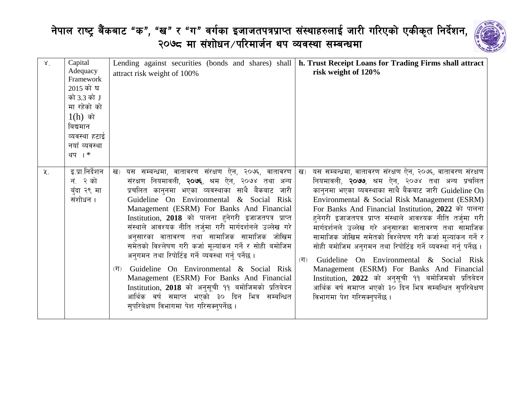

| $X_{1}$ | Capital<br>Adequacy<br>Framework<br>2015 को घ<br>को 3.3 को J<br>मा रहेको को<br>$1(h)$ को<br>बिद्यमान<br>व्यवस्था हटाई<br>नयाँ व्यवस्था<br>थप । * | Lending against securities (bonds and shares) shall<br>attract risk weight of 100%                                                                                                                                                                                                                                                                                                                                                                                                                                                                                                                                                                                                                                                                                                           | h. Trust Receipt Loans for Trading Firms shall attract<br>risk weight of 120%                                                                                                                                                                                                                                                                                                                                                                                                                                                                                                                                                                                                                                                                                                                     |
|---------|--------------------------------------------------------------------------------------------------------------------------------------------------|----------------------------------------------------------------------------------------------------------------------------------------------------------------------------------------------------------------------------------------------------------------------------------------------------------------------------------------------------------------------------------------------------------------------------------------------------------------------------------------------------------------------------------------------------------------------------------------------------------------------------------------------------------------------------------------------------------------------------------------------------------------------------------------------|---------------------------------------------------------------------------------------------------------------------------------------------------------------------------------------------------------------------------------------------------------------------------------------------------------------------------------------------------------------------------------------------------------------------------------------------------------------------------------------------------------------------------------------------------------------------------------------------------------------------------------------------------------------------------------------------------------------------------------------------------------------------------------------------------|
| 义.      | इ.प्रा.निर्देशन<br>नं. २ को<br>बुँदा २९ मा<br>संशोधन ।                                                                                           | यस सम्बन्धमा, वातावरण संरक्षण ऐन, २०७६, वातावरण<br>ख)<br>संरक्षण नियमावली, २०७६, श्रम ऐन, २०७४ तथा अन्य<br>प्रचलित कानुनमा भएका व्यवस्थाका साथै बैंकबाट जारी<br>Guideline On Environmental & Social Risk<br>Management (ESRM) For Banks And Financial<br>Institution, 2018 को पालना हुनेगरी इजाजतपत्र प्राप्त<br>संस्थाले आवश्यक नीति तर्जुमा गरी मार्गदर्शनले उल्लेख गरे<br>अनुसारका वातावरण तथा सामाजिक सामाजिक जोखिम<br>समेतको विश्लेषण गरी कर्जा मूल्यांकन गर्ने र सोही बमोजिम<br>अनुगमन तथा रिपोर्टिङ गर्ने व्यवस्था गर्नु पर्नेछ ।<br>Guideline On Environmental & Social Risk<br>(T)<br>Management (ESRM) For Banks And Financial<br>Institution, 2018 को अनुसूची ११ बमोजिमको प्रतिबेदन<br>आर्थिक वर्ष समाप्त भएको ३० दिन भित्र सम्बन्धित<br>सुपरिबेक्षण विभागमा पेश गरिसक्नुपर्नेछ । | यस सम्बन्धमा, वातावरण संरक्षण ऐन, २०७६, वातावरण संरक्षण<br>ख)<br>नियमावली, <b>२०७७</b> , श्रम ऐन, २०७४ तथा अन्य प्रचलित<br>कानुनमा भएका व्यवस्थाका साथै बैंकबाट जारी Guideline On<br>Environmental & Social Risk Management (ESRM)<br>For Banks And Financial Institution, 2022 को पालना<br>हुनेगरी इजाजतपत्र प्राप्त संस्थाले आवश्यक नीति तर्जुमा गरी<br>मार्गदर्शनले उल्लेख गरे अनुसारका वातावरण तथा सामाजिक<br>सामाजिक जोखिम समेतको विश्लेषण गरी कर्जा मूल्यांकन गर्ने र<br>सोही बमोजिम अनुगमन तथा रिपोर्टिङ गर्ने व्यवस्था गर्न् पर्नेछ ।<br>Guideline On Environmental & Social Risk<br>(T)<br>Management (ESRM) For Banks And Financial<br>Institution, 2022 को अनुसूची ११ बमोजिमको प्रतिबेदन<br>आर्थिक वर्ष समाप्त भएको ३० दिन भित्र सम्बन्धित सुपरिबेक्षण<br>विभागमा पेश गरिसक्नुपर्नेछ । |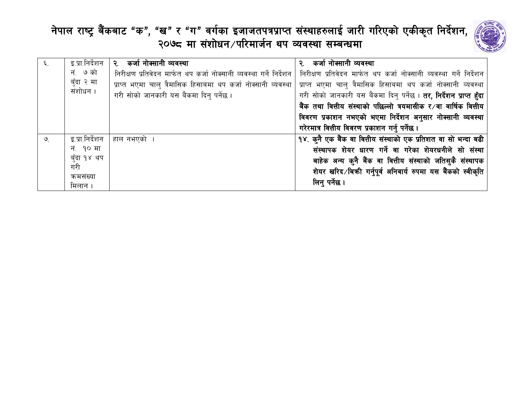

| ६.            |                     | इ.प्रा.निर्देशन   २. कर्जा नोक्सानी व्यवस्था                        | २. कर्जा नोक्सानी व्यवस्था                                                 |
|---------------|---------------------|---------------------------------------------------------------------|----------------------------------------------------------------------------|
|               | नं. ७ को            | निरीक्षण प्रतिवेदन मार्फत थप कर्जा नोक्सानी व्यवस्था गर्ने निर्देशन | निरीक्षण प्रतिवेदन मार्फत थप कर्जा नोक्सानी व्यवस्था गर्ने निर्देशन        |
|               | बुँदा २ मा          | प्राप्त भएमा चाल् त्रैमासिक हिसाबमा थप कर्जा नोक्सानी व्यवस्था      | प्राप्त भएमा चालु त्रैमासिक हिसाबमा थप कर्जा नोक्सानी व्यवस्था             |
|               | संशोधन ।            | गरी सोको जानकारी यस बैंकमा दिनु पर्नेछ ।                            | गरी सोको जानकारी यस बैंकमा दिनु पर्नेछ । <b>तर, निर्देशन प्राप्त हुँदा</b> |
|               |                     |                                                                     | बैंक तथा वित्तीय संस्थाको पछिल्लो त्रयमासीक र⁄वा वार्षिक वित्तीय           |
|               |                     |                                                                     | विवरण प्रकाशन नभएको भएमा निर्देशन अनुसार नोक्सानी व्यवस्था                 |
|               |                     |                                                                     | गरेरमात्र वित्तीय विवरण प्रकाशन गर्नु पर्नेछ ।                             |
| $\mathcal{Q}$ | इ.प्रा.निर्देशन     | हाल नभएको ।                                                         | १४. कुनै एक बैंक वा वित्तीय संस्थाको एक प्रतिशत वा सो भन्दा बढी            |
|               | नं. १० मा           |                                                                     | संस्थापक शेयर धारण गर्ने वा गरेका शेयरधनीले सो संस्था                      |
|               | बुँदा १४ थप         |                                                                     | बाहेक अन्य कुनै बैंक वा वित्तीय संस्थाको जतिसुकै संस्थापक                  |
|               | गरी                 |                                                                     | शेयर खरिद⁄बिकी गर्नुपूर्व अनिवार्य रुपमा यस बैंकको स्वीकृति                |
|               | कमसंख्या<br>मिलान । |                                                                     | लिन् पर्नेछ ।                                                              |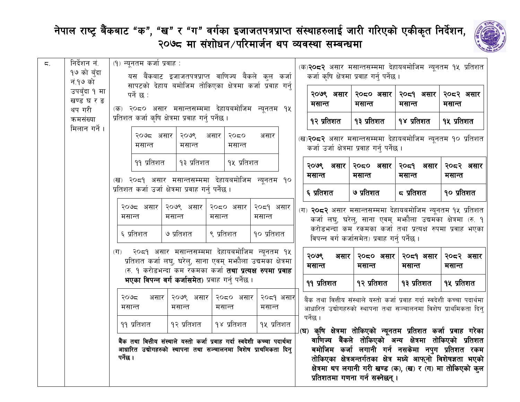

|    | निर्देशन नं.  |                                                                                                                                             |                                                    |                                                     |                                                                                                                                 |                                                   |                                                                                                        |                                                                           |                                                                  |                  |                                                              |
|----|---------------|---------------------------------------------------------------------------------------------------------------------------------------------|----------------------------------------------------|-----------------------------------------------------|---------------------------------------------------------------------------------------------------------------------------------|---------------------------------------------------|--------------------------------------------------------------------------------------------------------|---------------------------------------------------------------------------|------------------------------------------------------------------|------------------|--------------------------------------------------------------|
| ζ. | १७ को बुँदा   | (१) न्युनतम कर्जा प्रवाह :<br>यस बैंकबाट इजाजतपत्रप्राप्त वाणिज्य बैकले कुल कर्जा                                                           |                                                    |                                                     |                                                                                                                                 |                                                   | (क)२०८२ असार मसान्तसम्ममा देहायबमोजिम न्यूनतम १५ प्रतिशत<br>कर्जा कृषि क्षेत्रमा प्रवाह गर्न् पर्नेछ । |                                                                           |                                                                  |                  |                                                              |
|    | नं.१७ को      |                                                                                                                                             |                                                    |                                                     |                                                                                                                                 |                                                   |                                                                                                        |                                                                           |                                                                  |                  |                                                              |
|    | उपबुँदा १ मा  | सापटको देहाय बमोजिम तोकिएका क्षेत्रमा कर्जा प्रवाह गर्न                                                                                     |                                                    |                                                     |                                                                                                                                 |                                                   |                                                                                                        |                                                                           |                                                                  |                  |                                                              |
|    | खण्ड घर ङ     |                                                                                                                                             | पर्ने छ :                                          |                                                     |                                                                                                                                 |                                                   |                                                                                                        | २०७९ असार                                                                 | २०८० असार                                                        | २०८१ असार        | २०८२ असार                                                    |
|    | थप गरी        |                                                                                                                                             |                                                    |                                                     |                                                                                                                                 | (क) २०८० असार मसान्तसम्ममा देहायबमोजिम न्यूनतम १५ |                                                                                                        | मसान्त                                                                    | मसान्त                                                           | मसान्त           | मसान्त                                                       |
|    | कमसंख्या      |                                                                                                                                             | प्रतिशत कर्जा कृषि क्षेत्रमा प्रवाह गर्न् पर्नेछ । |                                                     |                                                                                                                                 |                                                   |                                                                                                        | १२ प्रतिशत                                                                | १३ प्रतिशत                                                       | १४ प्रतिशत       | १५ प्रतिशत                                                   |
|    | मिलान गर्ने । |                                                                                                                                             |                                                    |                                                     |                                                                                                                                 |                                                   |                                                                                                        |                                                                           |                                                                  |                  |                                                              |
|    |               |                                                                                                                                             | २०७८ असार<br>मसान्त                                | २०७९<br>मसान्त                                      | २०८०<br>असार<br>मसान्त                                                                                                          | असार                                              |                                                                                                        |                                                                           | (ख) <b>२०८२</b> असार मसान्तसम्ममा देहायबमोजिम न्यूनतम १० प्रतिशत |                  |                                                              |
|    |               |                                                                                                                                             |                                                    |                                                     |                                                                                                                                 |                                                   |                                                                                                        |                                                                           | कर्जा उर्जा क्षेत्रमा प्रवाह गर्न् पर्नेछ ।                      |                  |                                                              |
|    |               |                                                                                                                                             | ११ प्रतिशत                                         | १३ प्रतिशत                                          | १५ प्रतिशत                                                                                                                      |                                                   |                                                                                                        | २०७९ असार                                                                 | २०८० असार                                                        | २०द१ असार        | २०८२ असार                                                    |
|    |               |                                                                                                                                             | (ख) २०८१ असार मसान्तसम्ममा देहायबमोजिम न्यूनतम १०  |                                                     |                                                                                                                                 |                                                   |                                                                                                        | मसान्त                                                                    | मसान्त                                                           | मसान्त           | मसान्त                                                       |
|    |               |                                                                                                                                             |                                                    | प्रतिशत कर्जा उर्जा क्षेत्रमा प्रवाह गर्न् पर्नेछ । |                                                                                                                                 |                                                   |                                                                                                        | ६ प्रतिशत                                                                 | ७ प्रतिशत                                                        | <i>द</i> प्रतिशत | १० प्रतिशत                                                   |
|    |               |                                                                                                                                             | २०७८ असार                                          | २०७९ असार                                           | २०८० असार                                                                                                                       | २०८१ असार                                         |                                                                                                        |                                                                           | (ग) २०८२ असार मसान्तसम्ममा देहायबमोजिम न्यूनतम १५ प्रतिशत        |                  |                                                              |
|    |               | मसान्त                                                                                                                                      |                                                    | मसान्त                                              | मसान्त                                                                                                                          | मसान्त                                            |                                                                                                        |                                                                           |                                                                  |                  | कर्जा लघु, घरेलु, साना एवम् मभ्गौला उद्यमका क्षेत्रमा (रु. १ |
|    |               |                                                                                                                                             |                                                    | ७ प्रतिशत                                           | ९ प्रतिशत                                                                                                                       | १० प्रतिशत                                        |                                                                                                        |                                                                           | करोडभन्दा कम रकमका कर्जा तथा प्रत्यक्ष रुपमा प्रवाह भएका         |                  |                                                              |
|    |               | ६ प्रतिशत                                                                                                                                   |                                                    |                                                     | विपन्न वर्ग कर्जासमेत) प्रवाह गर्न् पर्नेछ ।                                                                                    |                                                   |                                                                                                        |                                                                           |                                                                  |                  |                                                              |
|    |               |                                                                                                                                             | (ग) २०८१ असार मसान्तसम्ममा देहायबमोजिम न्यूनतम १५  |                                                     |                                                                                                                                 |                                                   |                                                                                                        | २०७९<br>असार                                                              | २०८० असार                                                        | २०द१ असार        | २०८२ असार                                                    |
|    |               | प्रतिशत कर्जा लघु, घरेलु, साना एवम् मभ्गौला उद्यमका क्षेत्रमा                                                                               |                                                    | मसान्त                                              | मसान्त                                                                                                                          | मसान्त                                            | मसान्त                                                                                                 |                                                                           |                                                                  |                  |                                                              |
|    |               | (रु. १ करोडभन्दा कम रकमका कर्जा <b>तथा प्रत्यक्ष रुपमा प्रवाह</b>                                                                           |                                                    |                                                     |                                                                                                                                 |                                                   |                                                                                                        |                                                                           |                                                                  |                  |                                                              |
|    |               |                                                                                                                                             | भएका विपन्न वर्ग कर्जासमेत) प्रवाह गर्न् पर्नेछ।   |                                                     |                                                                                                                                 |                                                   |                                                                                                        | ११ प्रतिशत                                                                | १२ प्रतिशत                                                       | १३ प्रतिशत       | १५ प्रतिशत                                                   |
|    |               |                                                                                                                                             | २०७८<br>असार                                       | २०७९ असार                                           | २०८० असार                                                                                                                       | २०८१ असार                                         |                                                                                                        | बैंक तथा वित्तीय संस्थाले यस्तो कर्जा प्रवाह गर्दा स्वदेशी कच्चा पदार्थमा |                                                                  |                  |                                                              |
|    |               | मसान्त                                                                                                                                      |                                                    | मसान्त                                              | मसान्त                                                                                                                          | मसान्त                                            |                                                                                                        |                                                                           | आधारित उद्योगहरुको स्थापना तथा सञ्चालनमा विशेष प्राथमिकता दिन्   |                  |                                                              |
|    |               |                                                                                                                                             | ११ प्रतिशत                                         | १२ प्रतिशत                                          | १४ प्रतिशत                                                                                                                      | १५ प्रतिशत                                        |                                                                                                        | पर्नेछ ।                                                                  |                                                                  |                  |                                                              |
|    |               |                                                                                                                                             |                                                    |                                                     | <b>।</b> (घ) कृषि क्षेत्रमा तोकिएको न्यूनतम प्रतिशत कर्जा प्रवाह गरेका<br>वाणिज्य बैंकले तोकिएको अन्य क्षेत्रमा तोकिएको प्रतिशत |                                                   |                                                                                                        |                                                                           |                                                                  |                  |                                                              |
|    |               | बैंक तथा वित्तीय संस्थाले यस्तो कर्जा प्रवाह गर्दा स्वदेशी कच्चा पदार्थमा<br>आधारित उद्योगहरुको स्थापना तथा सञ्चालनमा विशेष प्राथमिकता दिन् |                                                    |                                                     |                                                                                                                                 | बमोजिम कर्जा लगानी गर्न नसकेमा नपुग प्रतिशत रकम   |                                                                                                        |                                                                           |                                                                  |                  |                                                              |
|    |               | पर्नेछ ।                                                                                                                                    |                                                    |                                                     | तोकिएका क्षेत्रअन्तर्गतका क्षेत्र मध्ये आफ् <b>नो विशेषज्ञता भएको</b>                                                           |                                                   |                                                                                                        |                                                                           |                                                                  |                  |                                                              |
|    |               |                                                                                                                                             |                                                    |                                                     |                                                                                                                                 |                                                   |                                                                                                        |                                                                           |                                                                  |                  | क्षेत्रमा थप लगानी गरी खण्ड (क), (ख) र (ग) मा तोकिएको क्ल    |
|    |               |                                                                                                                                             |                                                    |                                                     |                                                                                                                                 |                                                   |                                                                                                        |                                                                           | प्रतिशतमा गणना गर्न सक्नेछन्।                                    |                  |                                                              |
|    |               |                                                                                                                                             |                                                    |                                                     |                                                                                                                                 |                                                   |                                                                                                        |                                                                           |                                                                  |                  |                                                              |